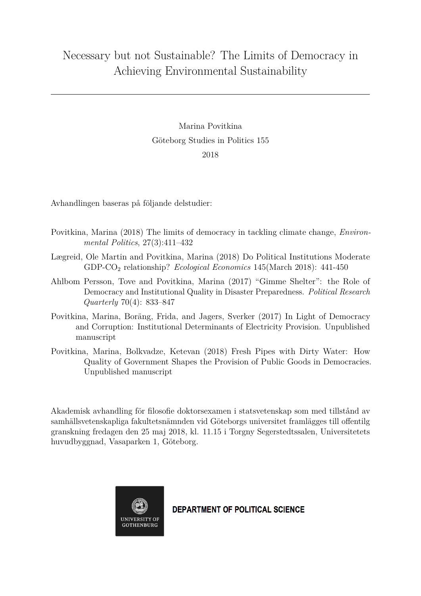## Necessary but not Sustainable? The Limits of Democracy in Achieving Environmental Sustainability

Marina Povitkina Göteborg Studies in Politics 155 2018

Avhandlingen baseras på följande delstudier:

- Povitkina, Marina (2018) The limits of democracy in tackling climate change, *Environmental Politics*, 27(3):411–432
- Lægreid, Ole Martin and Povitkina, Marina (2018) Do Political Institutions Moderate GDP-CO<sup>2</sup> relationship? *Ecological Economics* 145(March 2018): 441-450
- Ahlbom Persson, Tove and Povitkina, Marina (2017) "Gimme Shelter": the Role of Democracy and Institutional Quality in Disaster Preparedness. *Political Research Quarterly* 70(4): 833–847
- Povitkina, Marina, Boräng, Frida, and Jagers, Sverker (2017) In Light of Democracy and Corruption: Institutional Determinants of Electricity Provision. Unpublished manuscript
- Povitkina, Marina, Bolkvadze, Ketevan (2018) Fresh Pipes with Dirty Water: How Quality of Government Shapes the Provision of Public Goods in Democracies. Unpublished manuscript

Akademisk avhandling för filosofie doktorsexamen i statsvetenskap som med tillstånd av samhällsvetenskapliga fakultetsnämnden vid Göteborgs universitet framlägges till offentilg granskning fredagen den 25 maj 2018, kl. 11.15 i Torgny Segerstedtssalen, Universitetets huvudbyggnad, Vasaparken 1, Göteborg.



**DEPARTMENT OF POLITICAL SCIENCE**